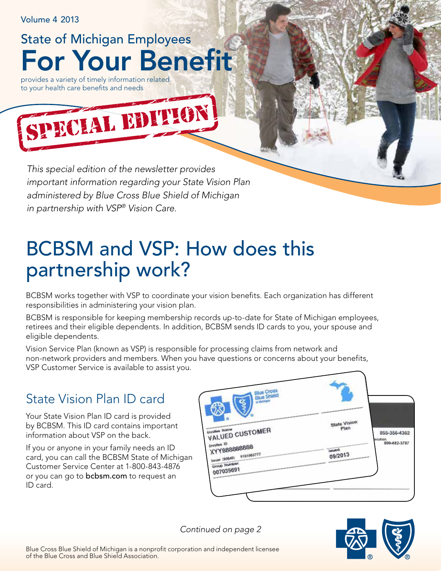Volume 4 2013

For Your Benefit State of Michigan Employees

provides a variety of timely information related to your health care benefits and needs

*This special edition of the newsletter provides important information regarding your State Vision Plan administered by Blue Cross Blue Shield of Michigan in partnership with VSP® Vision Care.*

CLAL EDITION

# BCBSM and VSP: How does this partnership work?

BCBSM works together with VSP to coordinate your vision benefits. Each organization has different responsibilities in administering your vision plan.

BCBSM is responsible for keeping membership records up-to-date for State of Michigan employees, retirees and their eligible dependents. In addition, BCBSM sends ID cards to you, your spouse and eligible dependents.

Vision Service Plan (known as VSP) is responsible for processing claims from network and non‑network providers and members. When you have questions or concerns about your benefits, VSP Customer Service is available to assist you.

## State Vision Plan ID card

Your State Vision Plan ID card is provided by BCBSM. This ID card contains important information about VSP on the back.

If you or anyone in your family needs an ID card, you can call the BCBSM State of Michigan Customer Service Center at 1‑800‑843‑4876 or you can go to **bcbsm.com** to request an ID card.

| <b>Blue Cross</b><br>Blue Shield                                                                  |                             |                                         |
|---------------------------------------------------------------------------------------------------|-----------------------------|-----------------------------------------|
| VALUED CUSTOMER<br>Enrollee Name                                                                  | <b>State Vision</b><br>Plan | 855-356-4362<br>ecurion<br>800-482-3787 |
| <b>Enrollee ID</b><br>XYY888888888<br>9101003777<br>(08.808) tousel<br>Group Number.<br>007035691 | <b>Issued:</b><br>09/2013   |                                         |
|                                                                                                   |                             |                                         |

*Continued on page 2*

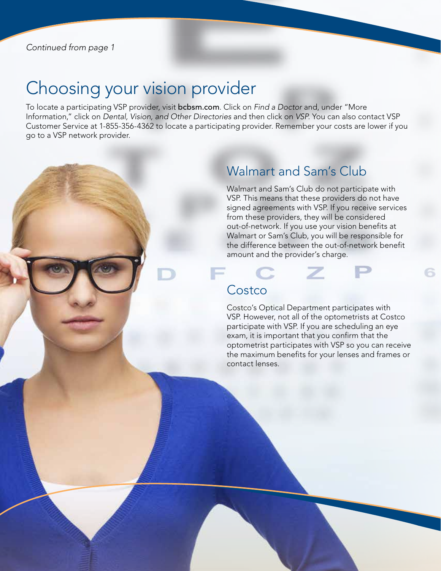## Choosing your vision provider

To locate a participating VSP provider, visit bcbsm.com. Click on *Find a Doctor* and, under "More Information," click on *Dental, Vision, and Other Directories* and then click on *VSP*. You can also contact VSP Customer Service at 1‑855‑356‑4362 to locate a participating provider. Remember your costs are lower if you go to a VSP network provider.

### Walmart and Sam's Club

Walmart and Sam's Club do not participate with VSP. This means that these providers do not have signed agreements with VSP. If you receive services from these providers, they will be considered out-of-network. If you use your vision benefits at Walmart or Sam's Club, you will be responsible for the difference between the out-of-network benefit amount and the provider's charge.

### **Costco**

Costco's Optical Department participates with VSP. However, not all of the optometrists at Costco participate with VSP. If you are scheduling an eye exam, it is important that you confirm that the optometrist participates with VSP so you can receive the maximum benefits for your lenses and frames or contact lenses.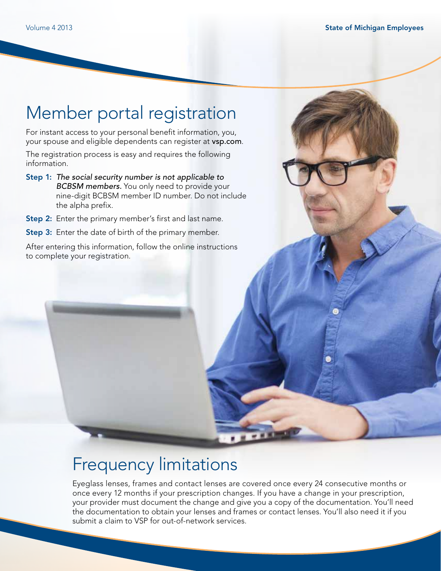## Member portal registration

For instant access to your personal benefit information, you, your spouse and eligible dependents can register at vsp.com.

The registration process is easy and requires the following information.

- Step 1: *The social security number is not applicable to BCBSM members.* You only need to provide your nine‑digit BCBSM member ID number. Do not include the alpha prefix.
- Step 2: Enter the primary member's first and last name.

**Step 3:** Enter the date of birth of the primary member.

After entering this information, follow the online instructions to complete your registration.

## Frequency limitations

Eyeglass lenses, frames and contact lenses are covered once every 24 consecutive months or once every 12 months if your prescription changes. If you have a change in your prescription, your provider must document the change and give you a copy of the documentation. You'll need the documentation to obtain your lenses and frames or contact lenses. You'll also need it if you submit a claim to VSP for out-of-network services.